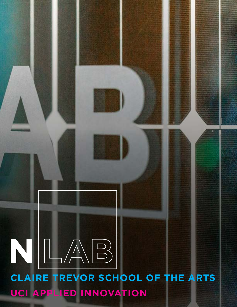# **CLAIRE TREVOR SCHOOL OF THE ARTS UCI APPLIED INNOVATION**  $N$  $\lfloor \bigwedge\limits_{i=1}^{n} \bigcap\limits_{j=1}^{n}$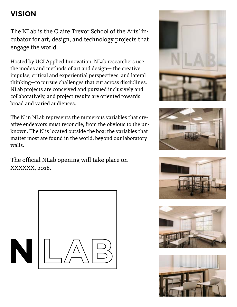# **VISION**

The NLab is the Claire Trevor School of the Arts' incubator for art, design, and technology projects that engage the world.

Hosted by UCI Applied Innovation, NLab researchers use the modes and methods of art and design— the creative impulse, critical and experiential perspectives, and lateral thinking—to pursue challenges that cut across disciplines. NLab projects are conceived and pursued inclusively and collaboratively, and project results are oriented towards broad and varied audiences.

The N in NLab represents the numerous variables that creative endeavors must reconcile, from the obvious to the unknown. The N is located outside the box; the variables that matter most are found in the world, beyond our laboratory walls.

The official NLab opening will take place on XXXXXX, 2018.











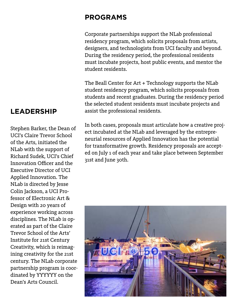## **PROGRAMS**

Corporate partnerships support the NLab professional residency program, which solicits proposals from artists, designers, and technologists from UCI faculty and beyond. During the residency period, the professional residents must incubate projects, host public events, and mentor the student residents.

The Beall Center for Art + Technology supports the NLab student residency program, which solicits proposals from students and recent graduates. During the residency period the selected student residents must incubate projects and assist the professional residents.

In both cases, proposals must articulate how a creative project incubated at the NLab and leveraged by the entrepreneurial resources of Applied Innovation has the potential for transformative growth. Residency proposals are accepted on July 1 of each year and take place between September 31st and June 30th.



# **LEADERSHIP**

Stephen Barker, the Dean of UCI's Claire Trevor School of the Arts, initiated the NLab with the support of Richard Sudek, UCI's Chief Innovation Officer and the Executive Director of UCI Applied Innovation. The NLab is directed by Jesse Colin Jackson, a UCI Professor of Electronic Art & Design with 20 years of experience working across disciplines. The NLab is operated as part of the Claire Trevor School of the Arts' Institute for 21st Century Creativity, which is reimagining creativity for the 21st century. The NLab corporate partnership program is coordinated by YYYYYY on the Dean's Arts Council.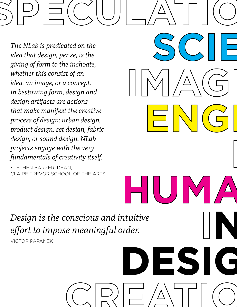*The NLab is predicated on the idea that design, per se, is the giving of form to the inchoate, whether this consist of an idea, an image, or a concept. In bestowing form, design and design artifacts are actions that make manifest the creative process of design: urban design, product design, set design, fabric design, or sound design. NLab projects engage with the very fundamentals of creativity itself.*

STEPHEN BARKER, DEAN, CLAIRE TREVOR SCHOOL OF THE ARTS

*Design is the conscious and intuitive effort to impose meaningful order.* 

VICTOR PAPANEK

# **DESIGN**

**SCIENCE**

**HUMANITIES**

**ENGINEERING**

**NN N**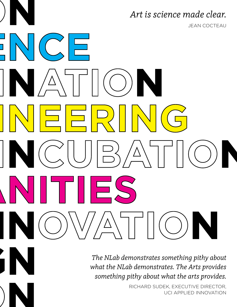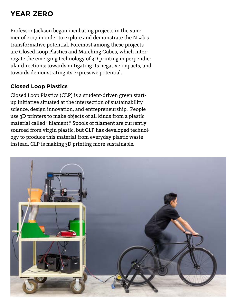# **YEAR ZERO**

Professor Jackson began incubating projects in the summer of 2017 in order to explore and demonstrate the NLab's transformative potential. Foremost among these projects are Closed Loop Plastics and Marching Cubes, which interrogate the emerging technology of 3D printing in perpendicular directions: towards mitigating its negative impacts, and towards demonstrating its expressive potential.

## **Closed Loop Plastics**

Closed Loop Plastics (CLP) is a student-driven green startup initiative situated at the intersection of sustainability science, design innovation, and entrepreneurship. People use 3D printers to make objects of all kinds from a plastic material called "filament." Spools of filament are currently sourced from virgin plastic, but CLP has developed technology to produce this material from everyday plastic waste instead. CLP is making 3D printing more sustainable.

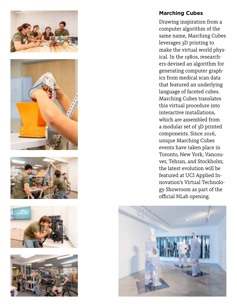









### **Marching Cubes**

Drawing inspiration from a computer algorithm of the same name, Marching Cubes leverages 3D printing to make the virtual world physical. In the 1980s, researchers devised an algorithm for generating computer graphics from medical scan data that featured an underlying language of faceted cubes. Marching Cubes translates this virtual procedure into interactive installations, which are assembled from a modular set of 3D printed components. Since 2016, unique Marching Cubes events have taken place in Toronto, New York, Vancouver, Tehran, and Stockholm; the latest evolution will be featured at UCI Applied Innovation's Virtual Technology Showroom as part of the official NLab opening.